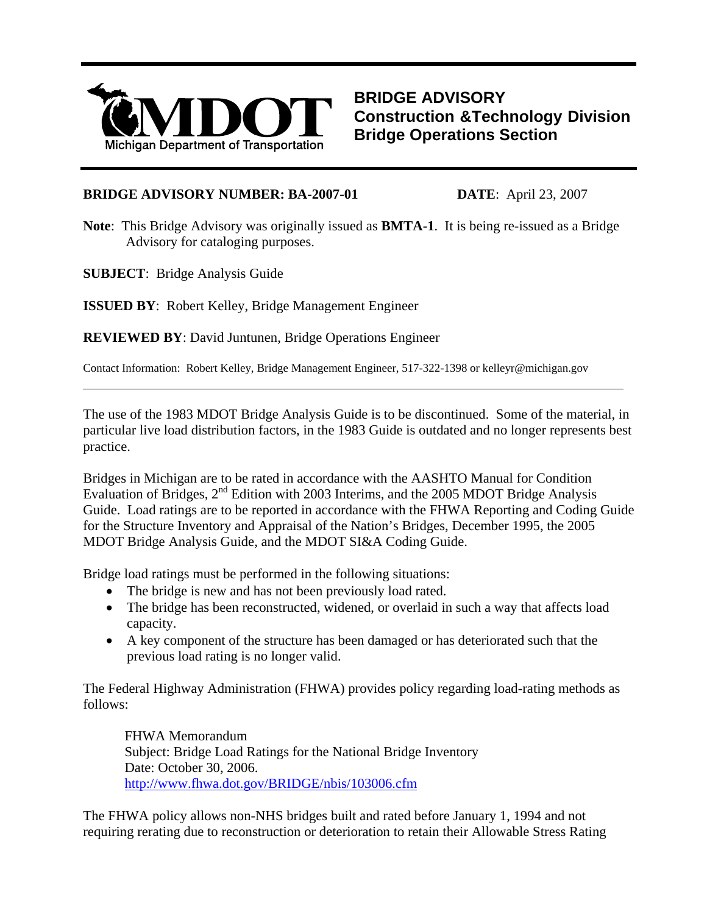

**BRIDGE ADVISORY Construction &Technology Division Bridge Operations Section**

## **BRIDGE ADVISORY NUMBER: BA-2007-01 DATE**: April 23, 2007

**Note**: This Bridge Advisory was originally issued as **BMTA-1**. It is being re-issued as a Bridge Advisory for cataloging purposes.

**SUBJECT**: Bridge Analysis Guide

 $\overline{a}$ 

**ISSUED BY**: Robert Kelley, Bridge Management Engineer

**REVIEWED BY**: David Juntunen, Bridge Operations Engineer

Contact Information: Robert Kelley, Bridge Management Engineer, 517-322-1398 or kelleyr@michigan.gov

The use of the 1983 MDOT Bridge Analysis Guide is to be discontinued. Some of the material, in particular live load distribution factors, in the 1983 Guide is outdated and no longer represents best practice.

Bridges in Michigan are to be rated in accordance with the AASHTO Manual for Condition Evaluation of Bridges, 2nd Edition with 2003 Interims, and the 2005 MDOT Bridge Analysis Guide. Load ratings are to be reported in accordance with the FHWA Reporting and Coding Guide for the Structure Inventory and Appraisal of the Nation's Bridges, December 1995, the 2005 MDOT Bridge Analysis Guide, and the MDOT SI&A Coding Guide.

Bridge load ratings must be performed in the following situations:

- The bridge is new and has not been previously load rated.
- The bridge has been reconstructed, widened, or overlaid in such a way that affects load capacity.
- A key component of the structure has been damaged or has deteriorated such that the previous load rating is no longer valid.

The Federal Highway Administration (FHWA) provides policy regarding load-rating methods as follows:

FHWA Memorandum Subject: Bridge Load Ratings for the National Bridge Inventory Date: October 30, 2006. <http://www.fhwa.dot.gov/BRIDGE/nbis/103006.cfm>

The FHWA policy allows non-NHS bridges built and rated before January 1, 1994 and not requiring rerating due to reconstruction or deterioration to retain their Allowable Stress Rating